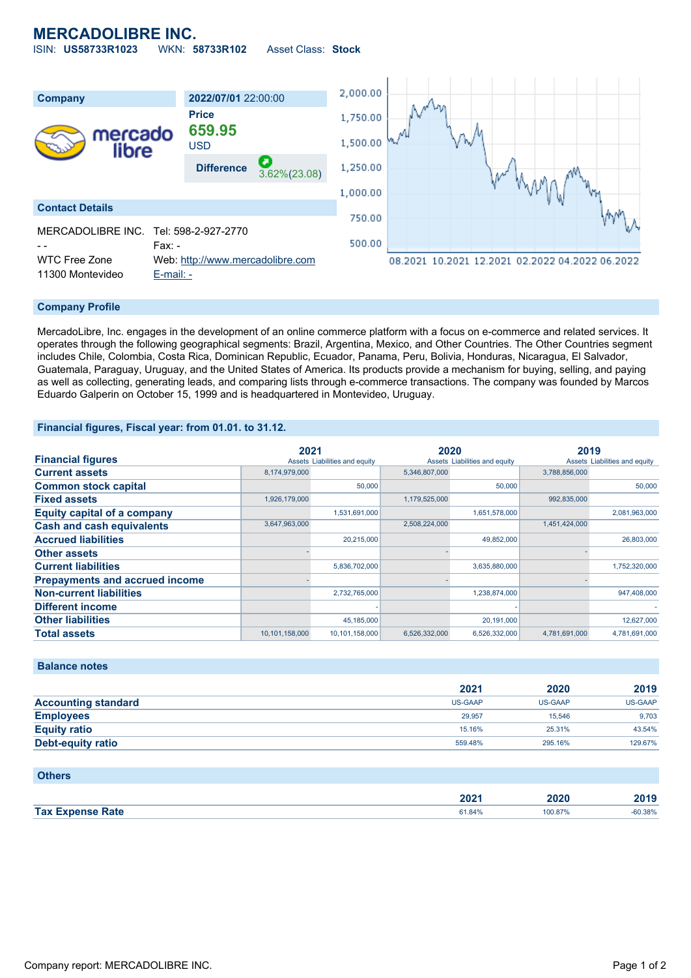# **MERCADOLIBRE INC.**

ISIN: **US58733R1023** WKN: **58733R102** Asset Class: **Stock**



### **Company Profile**

MercadoLibre, Inc. engages in the development of an online commerce platform with a focus on e-commerce and related services. It operates through the following geographical segments: Brazil, Argentina, Mexico, and Other Countries. The Other Countries segment includes Chile, Colombia, Costa Rica, Dominican Republic, Ecuador, Panama, Peru, Bolivia, Honduras, Nicaragua, El Salvador, Guatemala, Paraguay, Uruguay, and the United States of America. Its products provide a mechanism for buying, selling, and paying as well as collecting, generating leads, and comparing lists through e-commerce transactions. The company was founded by Marcos Eduardo Galperin on October 15, 1999 and is headquartered in Montevideo, Uruguay.

#### **Financial figures, Fiscal year: from 01.01. to 31.12.**

|                                       | 2021           |                               | 2020          |                               | 2019          |                               |
|---------------------------------------|----------------|-------------------------------|---------------|-------------------------------|---------------|-------------------------------|
| <b>Financial figures</b>              |                | Assets Liabilities and equity |               | Assets Liabilities and equity |               | Assets Liabilities and equity |
| <b>Current assets</b>                 | 8,174,979,000  |                               | 5,346,807,000 |                               | 3,788,856,000 |                               |
| <b>Common stock capital</b>           |                | 50,000                        |               | 50,000                        |               | 50,000                        |
| <b>Fixed assets</b>                   | 1,926,179,000  |                               | 1,179,525,000 |                               | 992,835,000   |                               |
| <b>Equity capital of a company</b>    |                | 1,531,691,000                 |               | 1,651,578,000                 |               | 2,081,963,000                 |
| <b>Cash and cash equivalents</b>      | 3,647,963,000  |                               | 2,508,224,000 |                               | 1,451,424,000 |                               |
| <b>Accrued liabilities</b>            |                | 20,215,000                    |               | 49,852,000                    |               | 26,803,000                    |
| <b>Other assets</b>                   |                |                               |               |                               |               |                               |
| <b>Current liabilities</b>            |                | 5,836,702,000                 |               | 3,635,880,000                 |               | 1,752,320,000                 |
| <b>Prepayments and accrued income</b> |                |                               |               |                               |               |                               |
| <b>Non-current liabilities</b>        |                | 2,732,765,000                 |               | 1,238,874,000                 |               | 947,408,000                   |
| <b>Different income</b>               |                |                               |               |                               |               |                               |
| <b>Other liabilities</b>              |                | 45.185.000                    |               | 20,191,000                    |               | 12,627,000                    |
| <b>Total assets</b>                   | 10,101,158,000 | 10.101.158.000                | 6.526.332.000 | 6.526.332.000                 | 4.781.691.000 | 4.781.691.000                 |

### **Balance notes**

|                            | 2021    | 2020           | 2019    |
|----------------------------|---------|----------------|---------|
| <b>Accounting standard</b> | US-GAAP | <b>US-GAAP</b> | US-GAAP |
| <b>Employees</b>           | 29.957  | 15.546         | 9,703   |
| <b>Equity ratio</b>        | 15.16%  | 25.31%         | 43.54%  |
| Debt-equity ratio          | 559.48% | 295.16%        | 129.67% |

#### **Others**

|                         | ירחר<br>ZUZ 1 | .vzv<br>_____ | 3010   |
|-------------------------|---------------|---------------|--------|
| <b>Tax Expense Rate</b> |               | 100.87%       | 60.38% |